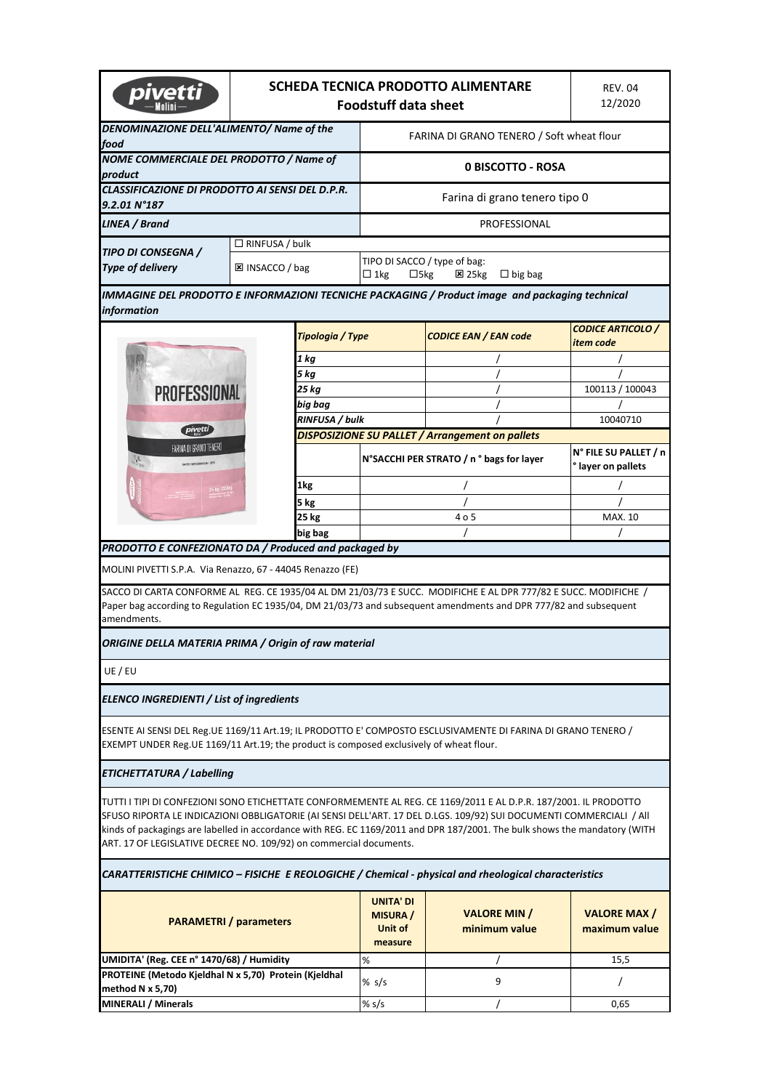| bive                                                                                                                                                                                                | SCHEDA TECNICA PRODOTTO ALIMENTARE<br><b>Foodstuff data sheet</b> |                  |                                                                                              |                                                                                                                                                                                                                                                                                                                                                                       | <b>REV. 04</b><br>12/2020                   |  |
|-----------------------------------------------------------------------------------------------------------------------------------------------------------------------------------------------------|-------------------------------------------------------------------|------------------|----------------------------------------------------------------------------------------------|-----------------------------------------------------------------------------------------------------------------------------------------------------------------------------------------------------------------------------------------------------------------------------------------------------------------------------------------------------------------------|---------------------------------------------|--|
| DENOMINAZIONE DELL'ALIMENTO/ Name of the<br>food                                                                                                                                                    |                                                                   |                  | FARINA DI GRANO TENERO / Soft wheat flour                                                    |                                                                                                                                                                                                                                                                                                                                                                       |                                             |  |
| NOME COMMERCIALE DEL PRODOTTO / Name of<br>product                                                                                                                                                  |                                                                   |                  |                                                                                              | 0 BISCOTTO - ROSA                                                                                                                                                                                                                                                                                                                                                     |                                             |  |
| <b>CLASSIFICAZIONE DI PRODOTTO AI SENSI DEL D.P.R.</b><br>$9.2.01 N^{\circ}187$                                                                                                                     |                                                                   |                  | Farina di grano tenero tipo 0                                                                |                                                                                                                                                                                                                                                                                                                                                                       |                                             |  |
| LINEA / Brand                                                                                                                                                                                       |                                                                   | PROFESSIONAL     |                                                                                              |                                                                                                                                                                                                                                                                                                                                                                       |                                             |  |
| $\Box$ RINFUSA / bulk<br><b>TIPO DI CONSEGNA /</b>                                                                                                                                                  |                                                                   |                  |                                                                                              |                                                                                                                                                                                                                                                                                                                                                                       |                                             |  |
| <b>Type of delivery</b>                                                                                                                                                                             | <b>⊠ INSACCO / bag</b>                                            |                  | TIPO DI SACCO / type of bag:<br>$\Box$ 1kg<br>$\Box$ 5kg<br>$\Sigma$ 25 kg<br>$\Box$ big bag |                                                                                                                                                                                                                                                                                                                                                                       |                                             |  |
| information                                                                                                                                                                                         |                                                                   |                  |                                                                                              | IMMAGINE DEL PRODOTTO E INFORMAZIONI TECNICHE PACKAGING / Product image and packaging technical                                                                                                                                                                                                                                                                       |                                             |  |
|                                                                                                                                                                                                     |                                                                   | Tipologia / Type |                                                                                              | <b>CODICE EAN / EAN code</b>                                                                                                                                                                                                                                                                                                                                          | <b>CODICE ARTICOLO /</b><br>item code       |  |
|                                                                                                                                                                                                     |                                                                   | 1 kg             |                                                                                              |                                                                                                                                                                                                                                                                                                                                                                       |                                             |  |
|                                                                                                                                                                                                     |                                                                   | 5 kg             |                                                                                              |                                                                                                                                                                                                                                                                                                                                                                       |                                             |  |
| <b>PROFESSIONAL</b>                                                                                                                                                                                 |                                                                   | 25 kg            |                                                                                              |                                                                                                                                                                                                                                                                                                                                                                       | 100113 / 100043                             |  |
|                                                                                                                                                                                                     |                                                                   | big bag          |                                                                                              |                                                                                                                                                                                                                                                                                                                                                                       |                                             |  |
| pivetti                                                                                                                                                                                             |                                                                   | RINFUSA / bulk   |                                                                                              |                                                                                                                                                                                                                                                                                                                                                                       | 10040710                                    |  |
| FARINA DI GRANO TENERO                                                                                                                                                                              |                                                                   |                  |                                                                                              | <b>DISPOSIZIONE SU PALLET / Arrangement on pallets</b>                                                                                                                                                                                                                                                                                                                |                                             |  |
| ie                                                                                                                                                                                                  |                                                                   |                  | N°SACCHI PER STRATO / n ° bags for layer                                                     |                                                                                                                                                                                                                                                                                                                                                                       | N° FILE SU PALLET / n<br>° layer on pallets |  |
|                                                                                                                                                                                                     |                                                                   | 1kg              |                                                                                              | 7                                                                                                                                                                                                                                                                                                                                                                     |                                             |  |
|                                                                                                                                                                                                     |                                                                   | 5 kg             |                                                                                              |                                                                                                                                                                                                                                                                                                                                                                       |                                             |  |
|                                                                                                                                                                                                     |                                                                   | <b>25 kg</b>     | 4 o 5                                                                                        |                                                                                                                                                                                                                                                                                                                                                                       | MAX. 10                                     |  |
|                                                                                                                                                                                                     |                                                                   | big bag          |                                                                                              |                                                                                                                                                                                                                                                                                                                                                                       |                                             |  |
| PRODOTTO E CONFEZIONATO DA / Produced and packaged by                                                                                                                                               |                                                                   |                  |                                                                                              |                                                                                                                                                                                                                                                                                                                                                                       |                                             |  |
| MOLINI PIVETTI S.P.A. Via Renazzo, 67 - 44045 Renazzo (FE)                                                                                                                                          |                                                                   |                  |                                                                                              |                                                                                                                                                                                                                                                                                                                                                                       |                                             |  |
| amendments.                                                                                                                                                                                         |                                                                   |                  |                                                                                              | SACCO DI CARTA CONFORME AL REG. CE 1935/04 AL DM 21/03/73 E SUCC. MODIFICHE E AL DPR 777/82 E SUCC. MODIFICHE /<br>Paper bag according to Regulation EC 1935/04, DM 21/03/73 and subsequent amendments and DPR 777/82 and subsequent                                                                                                                                  |                                             |  |
| ORIGINE DELLA MATERIA PRIMA / Origin of raw material                                                                                                                                                |                                                                   |                  |                                                                                              |                                                                                                                                                                                                                                                                                                                                                                       |                                             |  |
| UE / EU                                                                                                                                                                                             |                                                                   |                  |                                                                                              |                                                                                                                                                                                                                                                                                                                                                                       |                                             |  |
| <b>ELENCO INGREDIENTI / List of ingredients</b>                                                                                                                                                     |                                                                   |                  |                                                                                              |                                                                                                                                                                                                                                                                                                                                                                       |                                             |  |
|                                                                                                                                                                                                     |                                                                   |                  |                                                                                              |                                                                                                                                                                                                                                                                                                                                                                       |                                             |  |
|                                                                                                                                                                                                     |                                                                   |                  |                                                                                              | ESENTE AI SENSI DEL Reg.UE 1169/11 Art.19; IL PRODOTTO E' COMPOSTO ESCLUSIVAMENTE DI FARINA DI GRANO TENERO /                                                                                                                                                                                                                                                         |                                             |  |
|                                                                                                                                                                                                     |                                                                   |                  |                                                                                              |                                                                                                                                                                                                                                                                                                                                                                       |                                             |  |
|                                                                                                                                                                                                     |                                                                   |                  |                                                                                              | TUTTI I TIPI DI CONFEZIONI SONO ETICHETTATE CONFORMEMENTE AL REG. CE 1169/2011 E AL D.P.R. 187/2001. IL PRODOTTO<br>SFUSO RIPORTA LE INDICAZIONI OBBLIGATORIE (AI SENSI DELL'ART. 17 DEL D.LGS. 109/92) SUI DOCUMENTI COMMERCIALI / All<br>kinds of packagings are labelled in accordance with REG. EC 1169/2011 and DPR 187/2001. The bulk shows the mandatory (WITH |                                             |  |
|                                                                                                                                                                                                     |                                                                   |                  |                                                                                              | CARATTERISTICHE CHIMICO - FISICHE E REOLOGICHE / Chemical - physical and rheological characteristics                                                                                                                                                                                                                                                                  |                                             |  |
| EXEMPT UNDER Reg. UE 1169/11 Art. 19; the product is composed exclusively of wheat flour.<br><b>ETICHETTATURA / Labelling</b><br>ART. 17 OF LEGISLATIVE DECREE NO. 109/92) on commercial documents. | <b>PARAMETRI</b> / parameters                                     |                  | <b>UNITA' DI</b><br><b>MISURA</b> /<br>Unit of<br>measure                                    | <b>VALORE MIN /</b><br>minimum value                                                                                                                                                                                                                                                                                                                                  | <b>VALORE MAX/</b><br>maximum value         |  |
|                                                                                                                                                                                                     |                                                                   |                  | %                                                                                            |                                                                                                                                                                                                                                                                                                                                                                       | 15,5                                        |  |
| UMIDITA' (Reg. CEE n° 1470/68) / Humidity<br>PROTEINE (Metodo Kjeldhal N x 5,70) Protein (Kjeldhal<br>method N x 5,70)<br><b>MINERALI / Minerals</b>                                                |                                                                   |                  | % $s/s$<br>% $s/s$                                                                           | 9                                                                                                                                                                                                                                                                                                                                                                     | T<br>0,65                                   |  |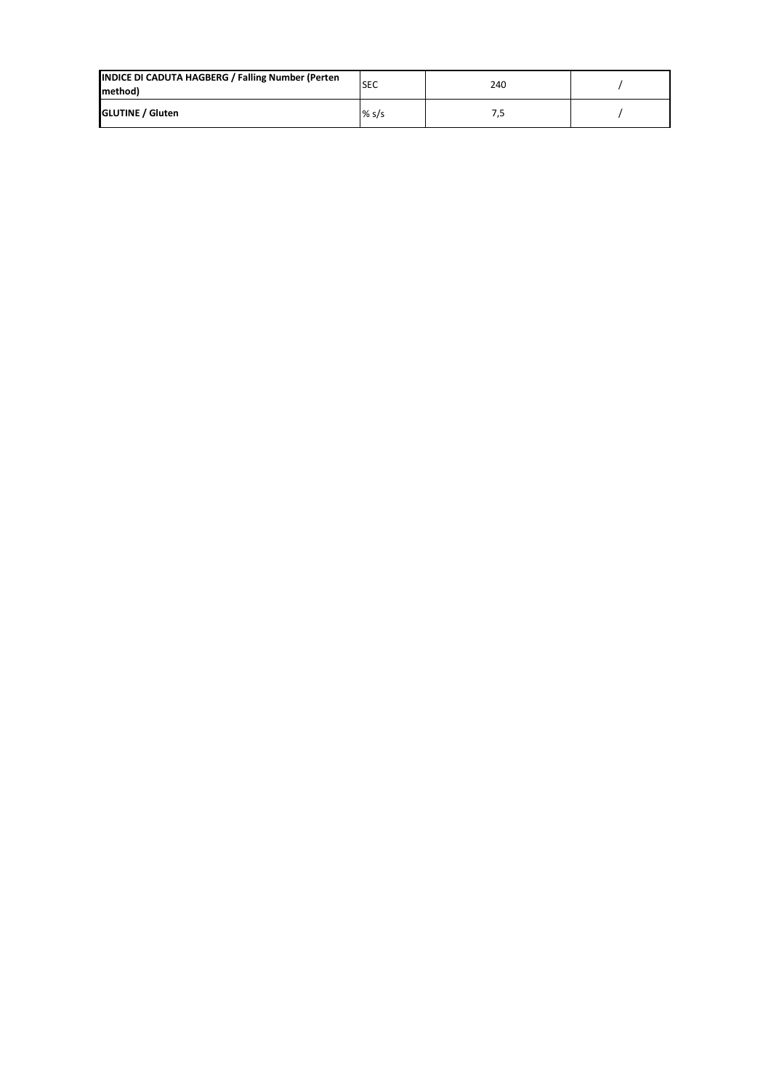| INDICE DI CADUTA HAGBERG / Falling Number (Perten<br>method) | <b>SEC</b> | 240 |  |
|--------------------------------------------------------------|------------|-----|--|
| <b>GLUTINE / Gluten</b>                                      | % s/s      |     |  |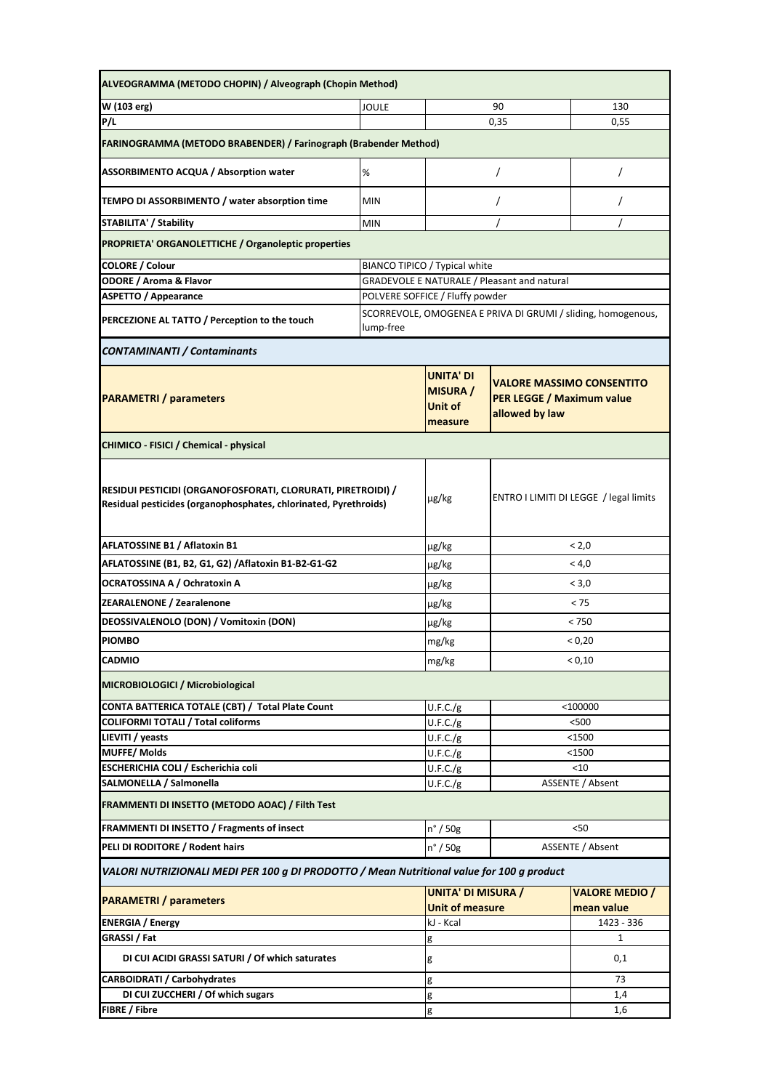| ALVEOGRAMMA (METODO CHOPIN) / Alveograph (Chopin Method)                                                                         |                                                                           |                                                           |                                                                                        |                                     |
|----------------------------------------------------------------------------------------------------------------------------------|---------------------------------------------------------------------------|-----------------------------------------------------------|----------------------------------------------------------------------------------------|-------------------------------------|
| W (103 erg)<br><b>JOULE</b>                                                                                                      |                                                                           |                                                           | 90                                                                                     | 130                                 |
| P/L                                                                                                                              |                                                                           |                                                           | 0,35                                                                                   | 0,55                                |
| FARINOGRAMMA (METODO BRABENDER) / Farinograph (Brabender Method)                                                                 |                                                                           |                                                           |                                                                                        |                                     |
| <b>ASSORBIMENTO ACQUA / Absorption water</b>                                                                                     | $\%$                                                                      |                                                           | $\prime$                                                                               | $\prime$                            |
| TEMPO DI ASSORBIMENTO / water absorption time                                                                                    | <b>MIN</b>                                                                |                                                           | 7                                                                                      | $\prime$                            |
| <b>STABILITA' / Stability</b><br><b>MIN</b>                                                                                      |                                                                           |                                                           |                                                                                        |                                     |
| <b>PROPRIETA' ORGANOLETTICHE / Organoleptic properties</b>                                                                       |                                                                           |                                                           |                                                                                        |                                     |
| <b>COLORE / Colour</b>                                                                                                           | BIANCO TIPICO / Typical white                                             |                                                           |                                                                                        |                                     |
| <b>ODORE / Aroma &amp; Flavor</b><br><b>GRADEVOLE E NATURALE / Pleasant and natural</b>                                          |                                                                           |                                                           |                                                                                        |                                     |
| <b>ASPETTO / Appearance</b>                                                                                                      | POLVERE SOFFICE / Fluffy powder                                           |                                                           |                                                                                        |                                     |
| PERCEZIONE AL TATTO / Perception to the touch                                                                                    | SCORREVOLE, OMOGENEA E PRIVA DI GRUMI / sliding, homogenous,<br>lump-free |                                                           |                                                                                        |                                     |
| <b>CONTAMINANTI / Contaminants</b>                                                                                               |                                                                           |                                                           |                                                                                        |                                     |
| <b>PARAMETRI</b> / parameters                                                                                                    |                                                                           | <b>UNITA' DI</b><br><b>MISURA</b> /<br>Unit of<br>measure | <b>VALORE MASSIMO CONSENTITO</b><br><b>PER LEGGE / Maximum value</b><br>allowed by law |                                     |
| CHIMICO - FISICI / Chemical - physical                                                                                           |                                                                           |                                                           |                                                                                        |                                     |
| RESIDUI PESTICIDI (ORGANOFOSFORATI, CLORURATI, PIRETROIDI) /<br>Residual pesticides (organophosphates, chlorinated, Pyrethroids) |                                                                           | $\mu$ g/kg                                                | ENTRO I LIMITI DI LEGGE / legal limits                                                 |                                     |
| AFLATOSSINE B1 / Aflatoxin B1                                                                                                    |                                                                           | $\mu$ g/kg                                                | < 2,0                                                                                  |                                     |
| AFLATOSSINE (B1, B2, G1, G2) / Aflatoxin B1-B2-G1-G2                                                                             |                                                                           | µg/kg                                                     | < 4.0                                                                                  |                                     |
| OCRATOSSINA A / Ochratoxin A                                                                                                     |                                                                           | $\mu$ g/kg                                                | < 3,0                                                                                  |                                     |
| <b>ZEARALENONE / Zearalenone</b>                                                                                                 |                                                                           | $\mu$ g/kg                                                | < 75                                                                                   |                                     |
| DEOSSIVALENOLO (DON) / Vomitoxin (DON)                                                                                           |                                                                           | $\mu$ g/kg                                                | < 750                                                                                  |                                     |
| <b>PIOMBO</b>                                                                                                                    |                                                                           | mg/kg                                                     | < 0,20                                                                                 |                                     |
| <b>CADMIO</b>                                                                                                                    |                                                                           | mg/kg                                                     | < 0,10                                                                                 |                                     |
| MICROBIOLOGICI / Microbiological                                                                                                 |                                                                           |                                                           |                                                                                        |                                     |
| CONTA BATTERICA TOTALE (CBT) / Total Plate Count                                                                                 |                                                                           | U.F.C./g                                                  | $<$ 100000                                                                             |                                     |
| <b>COLIFORMI TOTALI / Total coliforms</b>                                                                                        |                                                                           | U.F.C./g                                                  | $500$                                                                                  |                                     |
| LIEVITI / yeasts                                                                                                                 |                                                                           | U.F.C./g                                                  | $1500$                                                                                 |                                     |
| <b>MUFFE/Molds</b>                                                                                                               |                                                                           | U.F.C./g                                                  | $1500$                                                                                 |                                     |
| ESCHERICHIA COLI / Escherichia coli                                                                                              |                                                                           | U.F.C./g                                                  | $<$ 10                                                                                 |                                     |
| SALMONELLA / Salmonella                                                                                                          |                                                                           | U.F.C./g                                                  |                                                                                        | ASSENTE / Absent                    |
| FRAMMENTI DI INSETTO (METODO AOAC) / Filth Test                                                                                  |                                                                           |                                                           |                                                                                        |                                     |
| FRAMMENTI DI INSETTO / Fragments of insect                                                                                       |                                                                           | $n^{\circ}$ / 50g                                         | <50                                                                                    |                                     |
| PELI DI RODITORE / Rodent hairs                                                                                                  |                                                                           | $n^{\circ}$ / 50g                                         | ASSENTE / Absent                                                                       |                                     |
| VALORI NUTRIZIONALI MEDI PER 100 g DI PRODOTTO / Mean Nutritional value for 100 g product                                        |                                                                           |                                                           |                                                                                        |                                     |
| <b>PARAMETRI</b> / parameters                                                                                                    |                                                                           | <b>UNITA' DI MISURA /</b><br><b>Unit of measure</b>       |                                                                                        | <b>VALORE MEDIO /</b><br>mean value |
| <b>ENERGIA / Energy</b>                                                                                                          |                                                                           | kJ - Kcal                                                 |                                                                                        | 1423 - 336                          |
| GRASSI / Fat                                                                                                                     |                                                                           | g                                                         |                                                                                        | 1                                   |
| DI CUI ACIDI GRASSI SATURI / Of which saturates                                                                                  |                                                                           | g                                                         |                                                                                        | 0,1                                 |
| <b>CARBOIDRATI / Carbohydrates</b>                                                                                               |                                                                           | g                                                         |                                                                                        | 73                                  |
| DI CUI ZUCCHERI / Of which sugars                                                                                                |                                                                           | g                                                         |                                                                                        | 1,4                                 |
| FIBRE / Fibre                                                                                                                    |                                                                           | g                                                         |                                                                                        | 1,6                                 |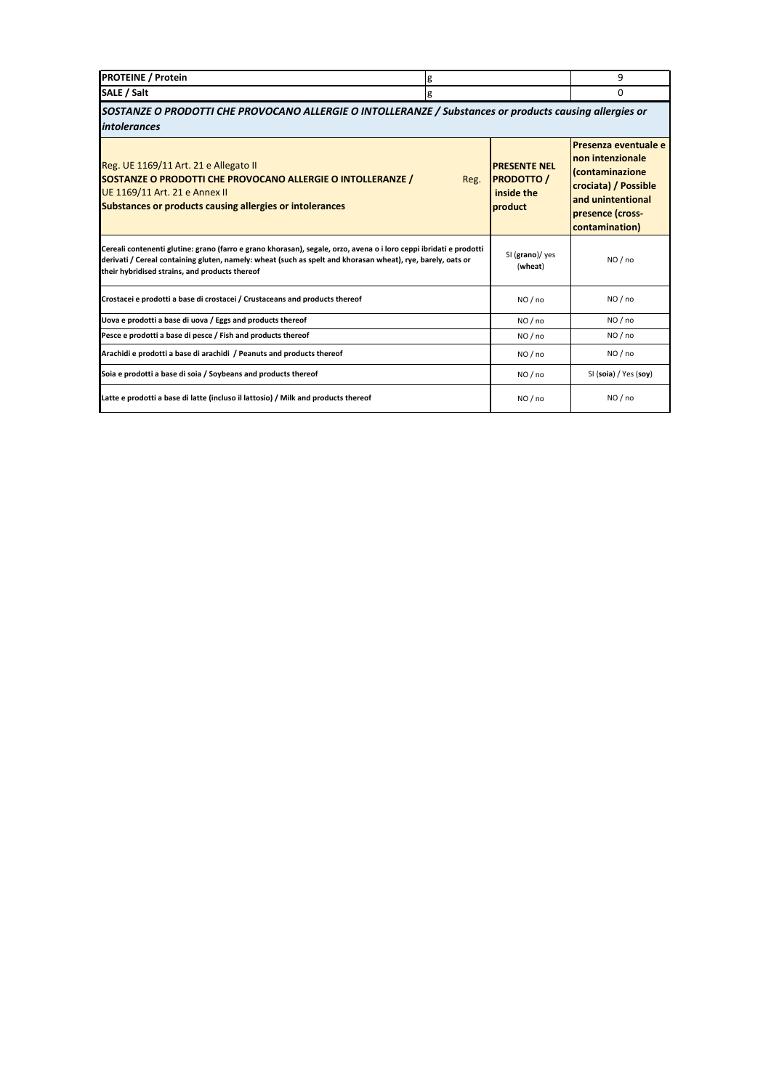| <b>PROTEINE</b><br>' Protein |  |
|------------------------------|--|
| <b>SALE</b><br>/ Salt        |  |

*SOSTANZE O PRODOTTI CHE PROVOCANO ALLERGIE O INTOLLERANZE / Substances or products causing allergies or intolerances*

| Reg. UE 1169/11 Art. 21 e Allegato II<br>SOSTANZE O PRODOTTI CHE PROVOCANO ALLERGIE O INTOLLERANZE /<br>Reg.<br>UE 1169/11 Art. 21 e Annex II<br>Substances or products causing allergies or intolerances                                                                           | <b>PRESENTE NEL</b><br><b>PRODOTTO</b><br>inside the<br>product | Presenza eventuale e<br><b>non intenzionale</b><br>Contaminazione<br>crociata) / Possible<br>and unintentional<br>presence (cross-<br>contamination) |
|-------------------------------------------------------------------------------------------------------------------------------------------------------------------------------------------------------------------------------------------------------------------------------------|-----------------------------------------------------------------|------------------------------------------------------------------------------------------------------------------------------------------------------|
| Cereali contenenti glutine: grano (farro e grano khorasan), segale, orzo, avena o i loro ceppi ibridati e prodotti<br>derivati / Cereal containing gluten, namely: wheat (such as spelt and khorasan wheat), rye, barely, oats or<br>their hybridised strains, and products thereof | SI (grano)/ yes<br>(wheat)                                      | NO / no                                                                                                                                              |
| Crostacei e prodotti a base di crostacei / Crustaceans and products thereof                                                                                                                                                                                                         | NO/no                                                           | NO/no                                                                                                                                                |
| Uova e prodotti a base di uova / Eggs and products thereof                                                                                                                                                                                                                          | NO/no                                                           | NO / no                                                                                                                                              |
| Pesce e prodotti a base di pesce / Fish and products thereof                                                                                                                                                                                                                        | NO/no                                                           | NO / no                                                                                                                                              |
| Arachidi e prodotti a base di arachidi / Peanuts and products thereof                                                                                                                                                                                                               | NO/no                                                           | NO / no                                                                                                                                              |
| Soia e prodotti a base di soia / Soybeans and products thereof                                                                                                                                                                                                                      | NO/no                                                           | SI (soia) / Yes (soy)                                                                                                                                |
| Latte e prodotti a base di latte (incluso il lattosio) / Milk and products thereof                                                                                                                                                                                                  | NO/no                                                           | NO / no                                                                                                                                              |